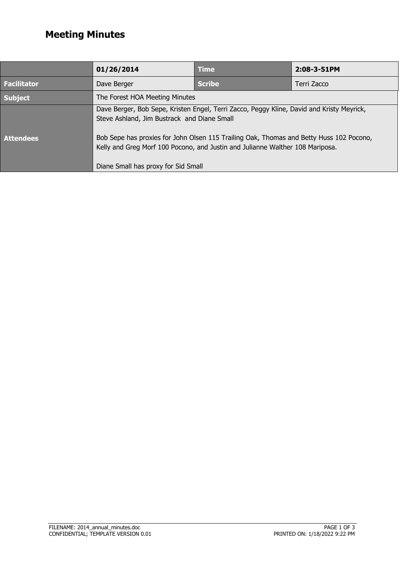## **Meeting Minutes**

|                    | 01/26/2014                                                                                                                                                                                                                                                                                                           | <b>Time</b>   | 2:08-3-51PM |  |
|--------------------|----------------------------------------------------------------------------------------------------------------------------------------------------------------------------------------------------------------------------------------------------------------------------------------------------------------------|---------------|-------------|--|
| <b>Facilitator</b> | Dave Berger                                                                                                                                                                                                                                                                                                          | <b>Scribe</b> | Terri Zacco |  |
| <b>Subject</b>     | The Forest HOA Meeting Minutes                                                                                                                                                                                                                                                                                       |               |             |  |
| <b>Attendees</b>   | Dave Berger, Bob Sepe, Kristen Engel, Terri Zacco, Peggy Kline, David and Kristy Meyrick,<br>Steve Ashland, Jim Bustrack and Diane Small<br>Bob Sepe has proxies for John Olsen 115 Trailing Oak, Thomas and Betty Huss 102 Pocono,<br>Kelly and Greg Morf 100 Pocono, and Justin and Julianne Walther 108 Mariposa. |               |             |  |
|                    | Diane Small has proxy for Sid Small                                                                                                                                                                                                                                                                                  |               |             |  |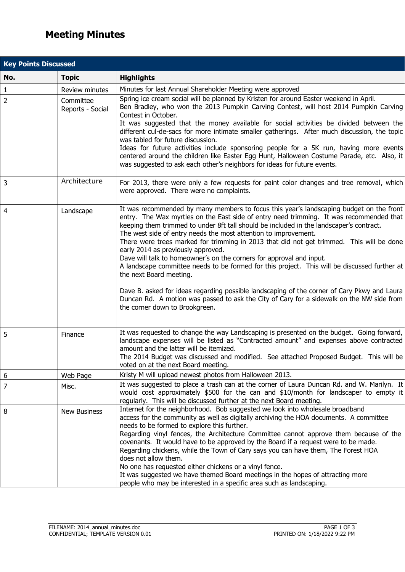## **Meeting Minutes**

Ļ

L

Ļ

 $\overline{a}$ 

| <b>Key Points Discussed</b> |                               |                                                                                                                                                                                                                                                                                                                                                                                                                                                                                                                                                                                                                                                                                                                                                                                                                                                                                                                     |  |  |
|-----------------------------|-------------------------------|---------------------------------------------------------------------------------------------------------------------------------------------------------------------------------------------------------------------------------------------------------------------------------------------------------------------------------------------------------------------------------------------------------------------------------------------------------------------------------------------------------------------------------------------------------------------------------------------------------------------------------------------------------------------------------------------------------------------------------------------------------------------------------------------------------------------------------------------------------------------------------------------------------------------|--|--|
| No.                         | <b>Topic</b>                  | <b>Highlights</b>                                                                                                                                                                                                                                                                                                                                                                                                                                                                                                                                                                                                                                                                                                                                                                                                                                                                                                   |  |  |
|                             | Review minutes                | Minutes for last Annual Shareholder Meeting were approved                                                                                                                                                                                                                                                                                                                                                                                                                                                                                                                                                                                                                                                                                                                                                                                                                                                           |  |  |
| $\frac{1}{2}$               | Committee<br>Reports - Social | Spring ice cream social will be planned by Kristen for around Easter weekend in April.<br>Ben Bradley, who won the 2013 Pumpkin Carving Contest, will host 2014 Pumpkin Carving<br>Contest in October.<br>It was suggested that the money available for social activities be divided between the<br>different cul-de-sacs for more intimate smaller gatherings. After much discussion, the topic<br>was tabled for future discussion.<br>Ideas for future activities include sponsoring people for a 5K run, having more events<br>centered around the children like Easter Egg Hunt, Halloween Costume Parade, etc. Also, it<br>was suggested to ask each other's neighbors for ideas for future events.                                                                                                                                                                                                           |  |  |
| 3                           | Architecture                  | For 2013, there were only a few requests for paint color changes and tree removal, which<br>were approved. There were no complaints.                                                                                                                                                                                                                                                                                                                                                                                                                                                                                                                                                                                                                                                                                                                                                                                |  |  |
| 4                           | Landscape                     | It was recommended by many members to focus this year's landscaping budget on the front<br>entry. The Wax myrtles on the East side of entry need trimming. It was recommended that<br>keeping them trimmed to under 8ft tall should be included in the landscaper's contract.<br>The west side of entry needs the most attention to improvement.<br>There were trees marked for trimming in 2013 that did not get trimmed. This will be done<br>early 2014 as previously approved.<br>Dave will talk to homeowner's on the corners for approval and input.<br>A landscape committee needs to be formed for this project. This will be discussed further at<br>the next Board meeting.<br>Dave B. asked for ideas regarding possible landscaping of the corner of Cary Pkwy and Laura<br>Duncan Rd. A motion was passed to ask the City of Cary for a sidewalk on the NW side from<br>the corner down to Brookgreen. |  |  |
| 5                           | Finance                       | It was requested to change the way Landscaping is presented on the budget. Going forward,<br>landscape expenses will be listed as "Contracted amount" and expenses above contracted<br>amount and the latter will be itemized.<br>The 2014 Budget was discussed and modified. See attached Proposed Budget. This will be<br>voted on at the next Board meeting.                                                                                                                                                                                                                                                                                                                                                                                                                                                                                                                                                     |  |  |
| 6                           | Web Page                      | Kristy M will upload newest photos from Halloween 2013.                                                                                                                                                                                                                                                                                                                                                                                                                                                                                                                                                                                                                                                                                                                                                                                                                                                             |  |  |
| $\overline{7}$              | Misc.                         | It was suggested to place a trash can at the corner of Laura Duncan Rd. and W. Marilyn. It<br>would cost approximately \$500 for the can and \$10/month for landscaper to empty it<br>regularly. This will be discussed further at the next Board meeting.                                                                                                                                                                                                                                                                                                                                                                                                                                                                                                                                                                                                                                                          |  |  |
| 8                           | New Business                  | Internet for the neighborhood. Bob suggested we look into wholesale broadband<br>access for the community as well as digitally archiving the HOA documents. A committee<br>needs to be formed to explore this further.<br>Regarding vinyl fences, the Architecture Committee cannot approve them because of the<br>covenants. It would have to be approved by the Board if a request were to be made.<br>Regarding chickens, while the Town of Cary says you can have them, The Forest HOA<br>does not allow them.<br>No one has requested either chickens or a vinyl fence.<br>It was suggested we have themed Board meetings in the hopes of attracting more<br>people who may be interested in a specific area such as landscaping.                                                                                                                                                                              |  |  |